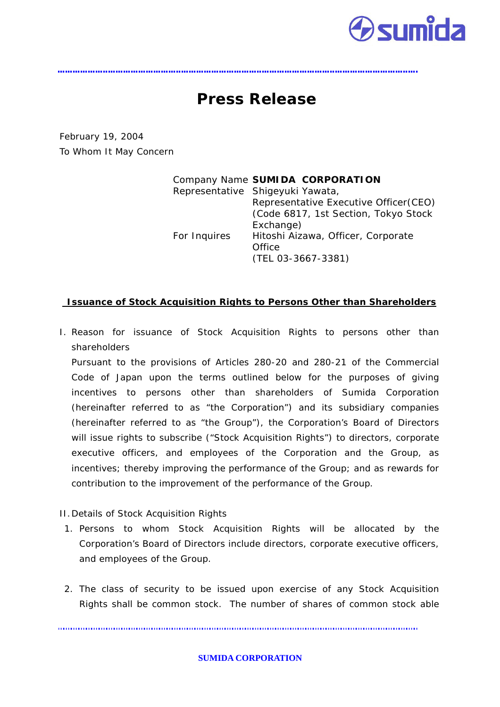

# **Press Release**

February 19, 2004 To Whom It May Concern

|              | Company Name SUMIDA CORPORATION        |
|--------------|----------------------------------------|
|              | Representative Shigeyuki Yawata,       |
|              | Representative Executive Officer (CEO) |
|              | (Code 6817, 1st Section, Tokyo Stock   |
|              | Exchange)                              |
| For Inquires | Hitoshi Aizawa, Officer, Corporate     |
|              | Office                                 |
|              | (TEL 03-3667-3381)                     |
|              |                                        |

# **Issuance of Stock Acquisition Rights to Persons Other than Shareholders**

I. Reason for issuance of Stock Acquisition Rights to persons other than shareholders

Pursuant to the provisions of Articles 280-20 and 280-21 of the Commercial Code of Japan upon the terms outlined below for the purposes of giving incentives to persons other than shareholders of Sumida Corporation (hereinafter referred to as "the Corporation") and its subsidiary companies (hereinafter referred to as "the Group"), the Corporation's Board of Directors will issue rights to subscribe ("Stock Acquisition Rights") to directors, corporate executive officers, and employees of the Corporation and the Group, as incentives; thereby improving the performance of the Group; and as rewards for contribution to the improvement of the performance of the Group.

- II.Details of Stock Acquisition Rights
- 1. Persons to whom Stock Acquisition Rights will be allocated by the Corporation's Board of Directors include directors, corporate executive officers, and employees of the Group.
- 2. The class of security to be issued upon exercise of any Stock Acquisition Rights shall be common stock. The number of shares of common stock able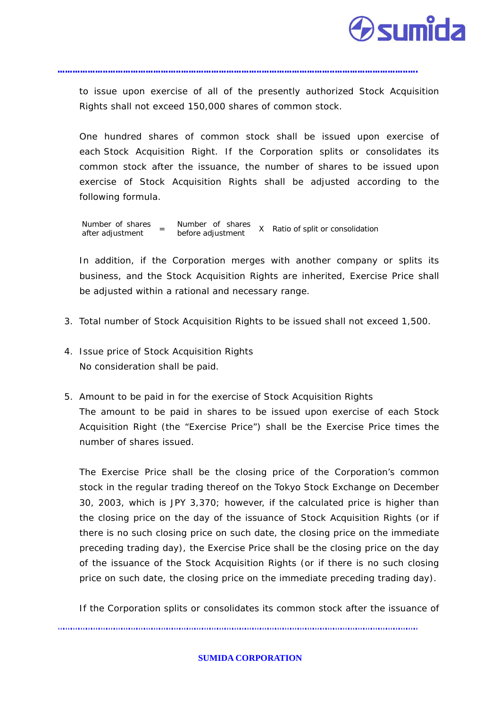

to issue upon exercise of all of the presently authorized Stock Acquisition Rights shall not exceed 150,000 shares of common stock.

One hundred shares of common stock shall be issued upon exercise of each Stock Acquisition Right. If the Corporation splits or consolidates its common stock after the issuance, the number of shares to be issued upon exercise of Stock Acquisition Rights shall be adjusted according to the following formula.

Number of shares after adjustment = Number of shares before adjustment X Ratio of split or consolidation

In addition, if the Corporation merges with another company or splits its business, and the Stock Acquisition Rights are inherited, Exercise Price shall be adjusted within a rational and necessary range.

- 3. Total number of Stock Acquisition Rights to be issued shall not exceed 1,500.
- 4. Issue price of Stock Acquisition Rights No consideration shall be paid.
- 5. Amount to be paid in for the exercise of Stock Acquisition Rights The amount to be paid in shares to be issued upon exercise of each Stock Acquisition Right (the "Exercise Price") shall be the Exercise Price times the number of shares issued.

The Exercise Price shall be the closing price of the Corporation's common stock in the regular trading thereof on the Tokyo Stock Exchange on December 30, 2003, which is JPY 3,370; however, if the calculated price is higher than the closing price on the day of the issuance of Stock Acquisition Rights (or if there is no such closing price on such date, the closing price on the immediate preceding trading day), the Exercise Price shall be the closing price on the day of the issuance of the Stock Acquisition Rights (or if there is no such closing price on such date, the closing price on the immediate preceding trading day).

If the Corporation splits or consolidates its common stock after the issuance of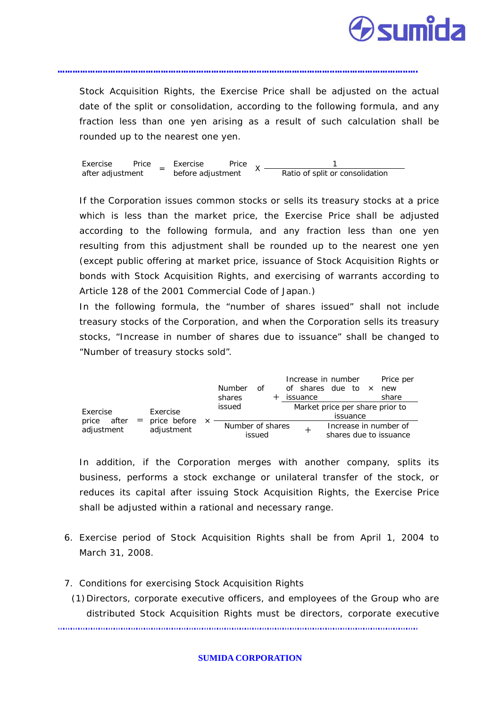

Stock Acquisition Rights, the Exercise Price shall be adjusted on the actual date of the split or consolidation, according to the following formula, and any fraction less than one yen arising as a result of such calculation shall be rounded up to the nearest one yen.

Exercise Price  $\frac{1}{1}$  Exercise Price  $\chi \frac{1}{1}$ after adjustment  $\bar{ }$  before adjustment Ratio of split or consolidation

If the Corporation issues common stocks or sells its treasury stocks at a price which is less than the market price, the Exercise Price shall be adjusted according to the following formula, and any fraction less than one yen resulting from this adjustment shall be rounded up to the nearest one yen (except public offering at market price, issuance of Stock Acquisition Rights or bonds with Stock Acquisition Rights, and exercising of warrants according to Article 128 of the 2001 Commercial Code of Japan.)

In the following formula, the "number of shares issued" shall not include treasury stocks of the Corporation, and when the Corporation sells its treasury stocks, "Increase in number of shares due to issuance" shall be changed to "Number of treasury stocks sold".

|                |                  | <b>Number</b><br>of<br>shares | Increase in number<br>Price per<br>of shares due to<br>$\times$<br>new<br>share<br>issuance |  |
|----------------|------------------|-------------------------------|---------------------------------------------------------------------------------------------|--|
| Exercise       | Exercise         | issued                        | Market price per share prior to                                                             |  |
| price<br>after | $=$ price before |                               | issuance                                                                                    |  |
| adjustment     | adjustment       | Number of shares<br>issued    | Increase in number of<br>shares due to issuance                                             |  |

In addition, if the Corporation merges with another company, splits its business, performs a stock exchange or unilateral transfer of the stock, or reduces its capital after issuing Stock Acquisition Rights, the Exercise Price shall be adjusted within a rational and necessary range.

- 6. Exercise period of Stock Acquisition Rights shall be from April 1, 2004 to March 31, 2008.
- 7. Conditions for exercising Stock Acquisition Rights
- (1)Directors, corporate executive officers, and employees of the Group who are distributed Stock Acquisition Rights must be directors, corporate executive